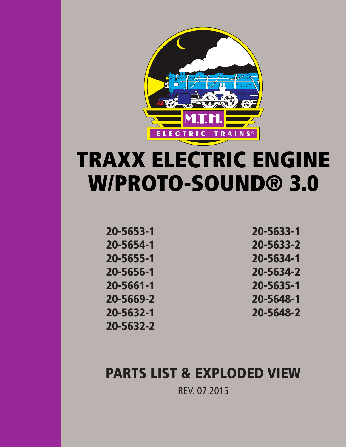

# TRAXX ELECTRIC ENGINE W/PROTO-SOUND® 3.0

20-5653-1 20-5654-1 20-5655-1 20-5656-1 20-5661-1 20-5669-2 20-5632-1 20-5632-2 20-5633-1 20-5633-2 20-5634-1 20-5634-2 20-5635-1 20-5648-1 20-5648-2

# PARTS LIST & EXPLODED VIEW

REV. 07.2015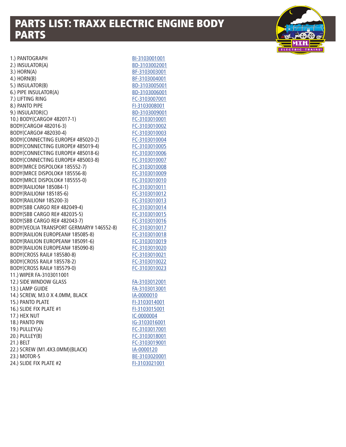# PARTS LIST: TRAXX ELECTRIC ENGINE BODY PARTS



| 1.) PANTOGRAPH                           | BI-3103001001 |
|------------------------------------------|---------------|
| 2.) INSULATOR(A)                         | BD-3103002001 |
| 3.) HORN(A)                              | BF-3103003001 |
| 4.) HORN(B)                              | BF-3103004001 |
| 5.) INSULATOR(B)                         | BD-3103005001 |
| 6.) PIPE INSULATOR(A)                    | BD-3103006001 |
| 7.) LIFTING RING                         | FC-3103007001 |
| 8.) PANTO PIPE                           | FI-3103008001 |
| 9.) INSULATOR(C)                         | BD-3103009001 |
| 10.) BODY(CARGO# 482017-1)               | FC-3103010001 |
| BODY(CARGO# 482016-3)                    | FC-3103010002 |
| BODY(CARGO# 482030-4)                    | FC-3103010003 |
| BODY(CONNECTING EUROPE# 485020-2)        | FC-3103010004 |
| BODY(CONNECTING EUROPE# 485019-4)        | FC-3103010005 |
| BODY(CONNECTING EUROPE# 485018-6)        | FC-3103010006 |
| BODY(CONNECTING EUROPE# 485003-8)        | FC-3103010007 |
| BODY(MRCE DISPOLOK# 185552-7)            | FC-3103010008 |
| BODY(MRCE DISPOLOK# 185556-8)            | FC-3103010009 |
| BODY(MRCE DISPOLOK# 185555-0)            | FC-3103010010 |
| BODY(RAILION# 185084-1)                  | FC-3103010011 |
| BODY(RAILION# 185185-6)                  | FC-3103010012 |
| BODY(RAILION# 185200-3)                  | FC-3103010013 |
| BODY(SBB CARGO RE# 482049-4)             | FC-3103010014 |
| BODY(SBB CARGO RE# 482035-5)             | FC-3103010015 |
| BODY(SBB CARGO RE# 482043-7)             | FC-3103010016 |
| BODY(VEOLIA TRANSPORT GERMARY# 146552-8) | FC-3103010017 |
| BODY(RAILION EUROPEAN# 185085-8)         | FC-3103010018 |
| BODY(RAILION EUROPEAN# 185091-6)         | FC-3103010019 |
| BODY(RAILION EUROPEAN# 185090-8)         | FC-3103010020 |
| BODY(CROSS RAIL# 185580-8)               | FC-3103010021 |
| BODY(CROSS RAIL# 185578-2)               | FC-3103010022 |
| BODY(CROSS RAIL# 185579-0)               | FC-3103010023 |
| 11.) WIPER FA-3103011001                 |               |
| 12.) SIDE WINDOW GLASS                   | FA-3103012001 |
| 13.) LAMP GUIDE                          | FA-3103013001 |
| 14.) SCREW, M3.0 X 4.0MM, BLACK          | IA-0000010    |
| 15.) PANTO PLATE                         | FI-3103014001 |
| 16.) SLIDE FIX PLATE #1                  | FI-3103015001 |
| 17.) HEX NUT                             | IC-0000004    |
| 18.) PANTO PIN                           | IG-3103016001 |
| 19.) PULLEY(A)                           | FC-3103017001 |
| 20.) PULLEY(B)                           | FC-3103018001 |
| 21.) BELT                                | FC-3103019001 |
| 22.) SCREW (M1.4X3.0MM)(BLACK)           | IA-0000120    |
| 23.) MOTOR-S                             | BE-3103020001 |
| 24.) SLIDE FIX PLATE #2                  | FI-3103021001 |
|                                          |               |

| <u>BI-3103001001</u> |
|----------------------|
| BD-3103002001        |
| BF-3103003001        |
| BF-3103004001        |
| BD-3103005001        |
| BD-3103006001        |
| FC-3103007001        |
| FI-3103008001        |
| BD-3103009001        |
| FC-3103010001        |
|                      |
| FC-3103010002        |
| FC-3103010003        |
| FC-3103010004        |
| FC-3103010005        |
| FC-3103010006        |
| FC-3103010007        |
| FC-3103010008        |
| FC-3103010009        |
| FC-3103010010        |
| FC-3103010011        |
| FC-3103010012        |
| FC-3103010013        |
| FC-3103010014        |
| FC-3103010015        |
| FC-3103010016        |
| FC-3103010017        |
| FC-3103010018        |
| FC-3103010019        |
| FC-3103010020        |
| FC-3103010021        |
| FC-3103010022        |
| <u>FC-3103010023</u> |
|                      |
| FA-3103012001        |
|                      |
| FA-3103013001        |
| IA-0000010           |
| FI-3103014001        |
| FI-3103015001        |
| IC-0000004           |
| IG-3103016001        |
| FC-3103017001        |
| FC-3103018001        |
| FC-3103019001        |
| IA-0000120           |
| BE-3103020001        |
| FI-3103021001        |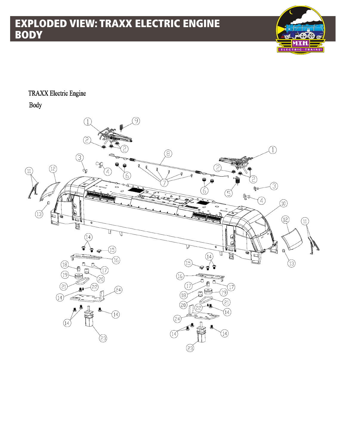

#### **TRAXX Electric Engine**

**Body** 

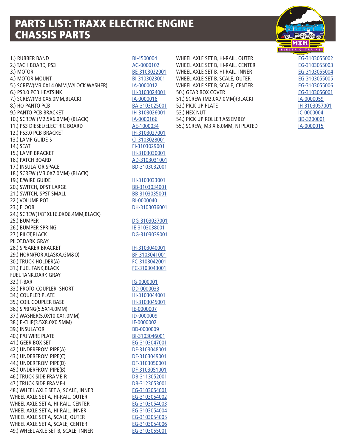### PARTS LIST: TRAXX ELECTRIC ENGINE CHASSIS PARTS

1.) RUBBER BAND [BI-4500004](http://mthtrains.com/part/BI-4500004) 2.) TACH BOARD, PS3 [AG-0000102](http://mthtrains.com/part/AG-0000102) 3.) MOTOR [BE-3103022001](http://mthtrains.com/part/BE-3103022001) 4.) MOTOR MOUNT [BI-3103023001](http://mthtrains.com/part/BI-3103023001) 5.) SCREW(M3.0X14.0MM,W/LOCK WASHER) [IA-0000012](http://mthtrains.com/part/IA-0000012) 6.) PS3.0 PCB HEATSINK [IH-3103024001](http://mthtrains.com/part/IH-3103024001) 7.) SCREW(M3.0X6.0MM, BLACK) [IA-0000016](http://mthtrains.com/part/IA-0000016) 8.) HO PANTO PCB [BA-3103025001](http://mthtrains.com/part/BA-3103025001) 9.) PANTO PCB BRACKET IN 1989 11-3103026001 10.) SCREW (M2.5X6.0MM) (BLACK) [IA-0000166](http://mthtrains.com/part/IA-0000166) 11.) PS3 DIESEL/ELECTRIC BOARD [AE-1000034](http://mthtrains.com/part/AE-1000034) 12.) PS3.0 PCB BRACKET IN TH-3103027001 13.) LAMP GUIDE-S [CI-3103028001](http://mthtrains.com/part/CI-3103028001) 14.) SEAT [FI-3103029001](http://mthtrains.com/part/FI-3103029001) 15.) LAMP BRACKET 15. [IH-3103030001](http://mthtrains.com/part/IH-3103030001) 16.) PATCH BOARD [AD-3103031001](http://mthtrains.com/part/AD-3103031001) 17.) INSULATOR SPACE [BD-3103032001](http://mthtrains.com/part/BD-3103032001) 18.) SCREW (M3.0X7.0MM) (BLACK) 19.) E/WIRE GUIDE 19. [IH-3103033001](http://mthtrains.com/part/IH-3103033001) 20.) SWITCH, DPST LARGE [BB-3103034001](http://mthtrains.com/part/BB-3103034001) 21.) SWITCH, SPST SMALL [BB-3103035001](http://mthtrains.com/part/BB-3103035001) 22.) VOLUME POT [BI-0000040](http://mthtrains.com/part/BI-0000040) 23.) FLOOR [DH-3103036001](http://mthtrains.com/part/DH-3103036001) 24.) SCREW(1/8"XL16.0XD6.4MM,BLACK) 25.) BUMPER [DG-3103037001](http://mthtrains.com/part/DG-3103037001) 26.) BUMPER SPRING ISSUED: [IE-3103038001](http://mthtrains.com/part/IE-3103038001) 27.) PILOT,BLACK [DG-3103039001](http://mthtrains.com/part/DG-3103039001) PILOT,DARK GRAY 28.) SPEAKER BRACKET **IM-3103040001** 29.) HORN(FOR ALASKA,GM&O) [BF-3103041001](http://mthtrains.com/part/BF-3103041001) 30.) TRUCK HOLDER(A) [FC-3103042001](http://mthtrains.com/part/FC-3103042001) 31.) FUEL TANK, BLACK [FC-3103043001](http://mthtrains.com/part/FC-3103043001) FUEL TANK,DARK GRAY 32.) T-BAR [IG-0000001](http://mthtrains.com/part/IG-0000001) 33.) PROTO-COUPLER, SHORT [DD-0000033](http://mthtrains.com/part/DD-0000033) 34.) COUPLER PLATE IMPORTED THE STORE IN 198044001 35.) COIL COUPLER BASE IMPORTANT RESEARCH THE 103045001 36.) SPRING(5.5X14.0MM) [IE-0000007](http://mthtrains.com/part/IE-0000007) 37.) WASHER(5.0X10.0X1.0MM) [ID-0000009](http://mthtrains.com/part/ID-0000009) 38.) E-CLIP(3.5X8.0X0.5MM) [IF-0000002](http://mthtrains.com/part/IF-0000002) 39.) INSULATOR [BD-0000009](http://mthtrains.com/part/BD-0000009) 40.) P/U WIRE PLATE **[BI-3103046001](http://mthtrains.com/part/BI-3103046001)** 41.) GEER BOX SET [EG-3103047001](http://mthtrains.com/part/EG-3103047001) 42.) UNDERFROM PIPE(A) [DF-3103048001](http://mthtrains.com/part/DF-3103048001) 43.) UNDERFROM PIPE(C) [DF-3103049001](http://mthtrains.com/part/DF-3103049001) 44.) UNDERFROM PIPE(D) [DF-3103050001](http://mthtrains.com/part/DF-3103050001) 45.) UNDERFROM PIPE(B) [DF-3103051001](http://mthtrains.com/part/DF-3103051001) 46.) TRUCK SIDE FRAME-R [DB-3113052001](http://mthtrains.com/part/DB-3113052001) 47.) TRUCK SIDE FRAME-L [DB-3123053001](http://mthtrains.com/part/DB-3123053001) 48.) WHEEL AXLE SET A, SCALE, INNER [EG-3103054001](http://mthtrains.com/part/EG-3103054001) WHEEL AXLE SET A, HI-RAIL, OUTER [EG-3103054002](http://mthtrains.com/part/EG-3103054002) WHEEL AXLE SET A, HI-RAIL, CENTER [EG-3103054003](http://mthtrains.com/part/EG-3103054003) WHEEL AXLE SET A, HI-RAIL, INNER [EG-3103054004](http://mthtrains.com/part/EG-3103054004) WHEEL AXLE SET A, SCALE, OUTER [EG-3103054005](http://mthtrains.com/part/EG-3103054005) WHEEL AXLE SET A, SCALE, CENTER [EG-3103054006](http://mthtrains.com/part/EG-3103054006) 49.) WHEEL AXLE SET B, SCALE, INNER [EG-3103055001](http://mthtrains.com/part/EG-3103055001)

WHEEL AXLE SET B, HI-RAIL, OUTER [EG-3103055002](http://mthtrains.com/part/EG-3103055002) WHEEL AXLE SET B, HI-RAIL, CENTER [EG-3103055003](http://mthtrains.com/part/EG-3103055003) WHEEL AXLE SET B, HI-RAIL, INNER [EG-3103055004](http://mthtrains.com/part/EG-3103055004) WHEEL AXLE SET B, SCALE, OUTER [EG-3103055005](http://mthtrains.com/part/EG-3103055005) WHEEL AXLE SET B, SCALE, CENTER [EG-3103055006](http://mthtrains.com/part/EG-3103055006) 50.) GEAR BOX COVER **[EG-3103056001](http://mthtrains.com/part/EG-3103056001)** 51.) SCREW (M2.0X7.0MM) (BLACK) [IA-0000059](http://mthtrains.com/part/IA-0000059
) 52.) PICK UP PLATE IN A 103057001 53.) HEX NUT [IC-0000004](http://mthtrains.com/part/IC-0000004) 54.) PICK UP ROLLER ASSEMBLY [BD-3200001](http://mthtrains.com/part/BD-3200001) 55.) SCREW, M3 X 6.0MM, NI PLATED [IA-0000015](http://mthtrains.com/part/IA-0000015)